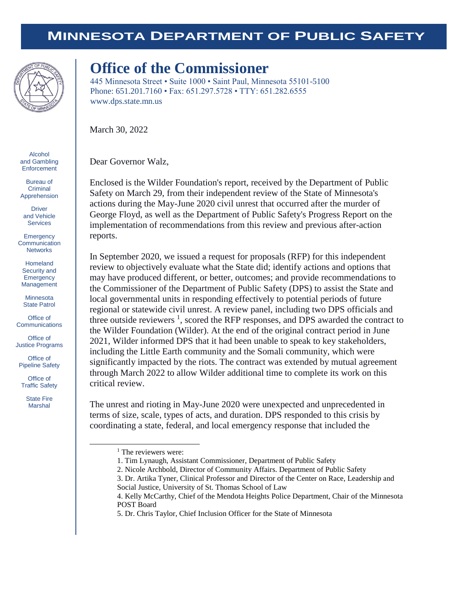## **MINNESOTA DEPARTMENT OF PUBLIC SAFETY**



## **Office of the Commissioner**

445 Minnesota Street • Suite 1000 • Saint Paul, Minnesota 55101-5100 Phone: 651.201.7160 • Fax: 651.297.5728 • TTY: 651.282.6555 www.dps.state.mn.us

March 30, 2022

Dear Governor Walz,

Enclosed is the Wilder Foundation's report, received by the Department of Public Safety on March 29, from their independent review of the State of Minnesota's actions during the May-June 2020 civil unrest that occurred after the murder of George Floyd, as well as the Department of Public Safety's Progress Report on the implementation of recommendations from this review and previous after-action reports.

In September 2020, we issued a request for proposals (RFP) for this independent review to objectively evaluate what the State did; identify actions and options that may have produced different, or better, outcomes; and provide recommendations to the Commissioner of the Department of Public Safety (DPS) to assist the State and local governmental units in responding effectively to potential periods of future regional or statewide civil unrest. A review panel, including two DPS officials and three outside reviewers  $<sup>1</sup>$ , scored the RFP responses, and DPS awarded the contract to</sup> the Wilder Foundation (Wilder). At the end of the original contract period in June 2021, Wilder informed DPS that it had been unable to speak to key stakeholders, including the Little Earth community and the Somali community, which were significantly impacted by the riots. The contract was extended by mutual agreement through March 2022 to allow Wilder additional time to complete its work on this critical review.

The unrest and rioting in May-June 2020 were unexpected and unprecedented in terms of size, scale, types of acts, and duration. DPS responded to this crisis by coordinating a state, federal, and local emergency response that included the

Alcohol and Gambling **Enforcement** 

Bureau of **Criminal** Apprehension

Driver and Vehicle Services

**Emergency Communication Networks** 

Homeland Security and **Emergency** Management

**Minnesota** State Patrol

Office of **Communications** 

Office of Justice Programs

Office of Pipeline Safety

Office of Traffic Safety

> State Fire Marshal

> > l

<sup>&</sup>lt;sup>1</sup> The reviewers were:

<sup>1.</sup> Tim Lynaugh, Assistant Commissioner, Department of Public Safety

<sup>2.</sup> Nicole Archbold, Director of Community Affairs. Department of Public Safety

<sup>3.</sup> Dr. Artika Tyner, Clinical Professor and Director of the Center on Race, Leadership and Social Justice, University of St. Thomas School of Law

<sup>4.</sup> Kelly McCarthy, Chief of the Mendota Heights Police Department, Chair of the Minnesota POST Board

<sup>5.</sup> Dr. Chris Taylor, Chief Inclusion Officer for the State of Minnesota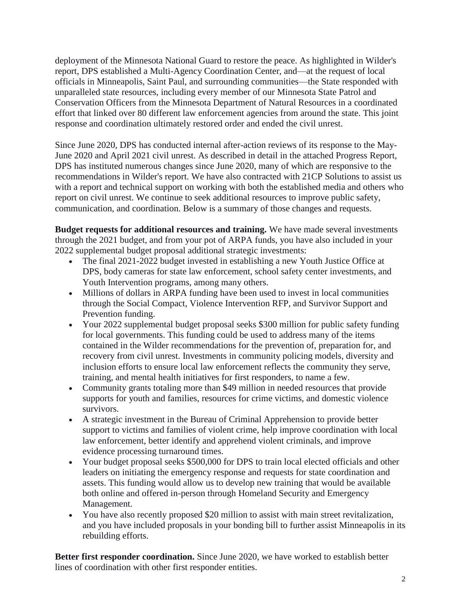deployment of the Minnesota National Guard to restore the peace. As highlighted in Wilder's report, DPS established a Multi-Agency Coordination Center, and—at the request of local officials in Minneapolis, Saint Paul, and surrounding communities—the State responded with unparalleled state resources, including every member of our Minnesota State Patrol and Conservation Officers from the Minnesota Department of Natural Resources in a coordinated effort that linked over 80 different law enforcement agencies from around the state. This joint response and coordination ultimately restored order and ended the civil unrest.

Since June 2020, DPS has conducted internal after-action reviews of its response to the May-June 2020 and April 2021 civil unrest. As described in detail in the attached Progress Report, DPS has instituted numerous changes since June 2020, many of which are responsive to the recommendations in Wilder's report. We have also contracted with 21CP Solutions to assist us with a report and technical support on working with both the established media and others who report on civil unrest. We continue to seek additional resources to improve public safety, communication, and coordination. Below is a summary of those changes and requests.

**Budget requests for additional resources and training.** We have made several investments through the 2021 budget, and from your pot of ARPA funds, you have also included in your 2022 supplemental budget proposal additional strategic investments:

- The final 2021-2022 budget invested in establishing a new Youth Justice Office at DPS, body cameras for state law enforcement, school safety center investments, and Youth Intervention programs, among many others.
- Millions of dollars in ARPA funding have been used to invest in local communities through the Social Compact, Violence Intervention RFP, and Survivor Support and Prevention funding.
- Your 2022 supplemental budget proposal seeks \$300 million for public safety funding for local governments. This funding could be used to address many of the items contained in the Wilder recommendations for the prevention of, preparation for, and recovery from civil unrest. Investments in community policing models, diversity and inclusion efforts to ensure local law enforcement reflects the community they serve, training, and mental health initiatives for first responders, to name a few.
- Community grants totaling more than \$49 million in needed resources that provide supports for youth and families, resources for crime victims, and domestic violence survivors.
- A strategic investment in the Bureau of Criminal Apprehension to provide better support to victims and families of violent crime, help improve coordination with local law enforcement, better identify and apprehend violent criminals, and improve evidence processing turnaround times.
- Your budget proposal seeks \$500,000 for DPS to train local elected officials and other leaders on initiating the emergency response and requests for state coordination and assets. This funding would allow us to develop new training that would be available both online and offered in-person through Homeland Security and Emergency Management.
- You have also recently proposed \$20 million to assist with main street revitalization, and you have included proposals in your bonding bill to further assist Minneapolis in its rebuilding efforts.

**Better first responder coordination.** Since June 2020, we have worked to establish better lines of coordination with other first responder entities.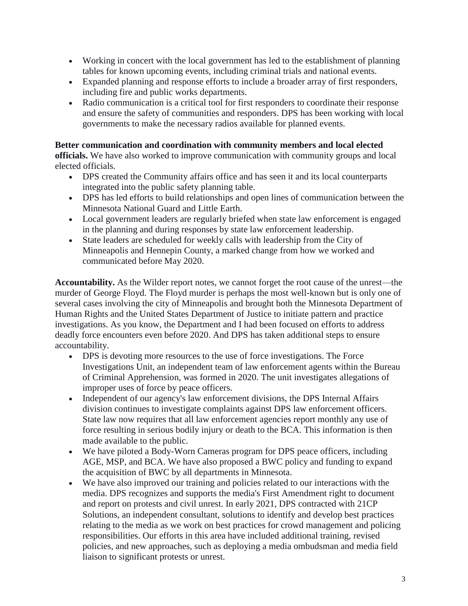- Working in concert with the local government has led to the establishment of planning tables for known upcoming events, including criminal trials and national events.
- Expanded planning and response efforts to include a broader array of first responders, including fire and public works departments.
- Radio communication is a critical tool for first responders to coordinate their response and ensure the safety of communities and responders. DPS has been working with local governments to make the necessary radios available for planned events.

## **Better communication and coordination with community members and local elected**

**officials.** We have also worked to improve communication with community groups and local elected officials.

- DPS created the Community affairs office and has seen it and its local counterparts integrated into the public safety planning table.
- DPS has led efforts to build relationships and open lines of communication between the Minnesota National Guard and Little Earth.
- Local government leaders are regularly briefed when state law enforcement is engaged in the planning and during responses by state law enforcement leadership.
- State leaders are scheduled for weekly calls with leadership from the City of Minneapolis and Hennepin County, a marked change from how we worked and communicated before May 2020.

**Accountability.** As the Wilder report notes, we cannot forget the root cause of the unrest—the murder of George Floyd. The Floyd murder is perhaps the most well-known but is only one of several cases involving the city of Minneapolis and brought both the Minnesota Department of Human Rights and the United States Department of Justice to initiate pattern and practice investigations. As you know, the Department and I had been focused on efforts to address deadly force encounters even before 2020. And DPS has taken additional steps to ensure accountability.

- DPS is devoting more resources to the use of force investigations. The Force Investigations Unit, an independent team of law enforcement agents within the Bureau of Criminal Apprehension, was formed in 2020. The unit investigates allegations of improper uses of force by peace officers.
- Independent of our agency's law enforcement divisions, the DPS Internal Affairs division continues to investigate complaints against DPS law enforcement officers. State law now requires that all law enforcement agencies report monthly any use of force resulting in serious bodily injury or death to the BCA. This information is then made available to the public.
- We have piloted a Body-Worn Cameras program for DPS peace officers, including AGE, MSP, and BCA. We have also proposed a BWC policy and funding to expand the acquisition of BWC by all departments in Minnesota.
- We have also improved our training and policies related to our interactions with the media. DPS recognizes and supports the media's First Amendment right to document and report on protests and civil unrest. In early 2021, DPS contracted with 21CP Solutions, an independent consultant, solutions to identify and develop best practices relating to the media as we work on best practices for crowd management and policing responsibilities. Our efforts in this area have included additional training, revised policies, and new approaches, such as deploying a media ombudsman and media field liaison to significant protests or unrest.